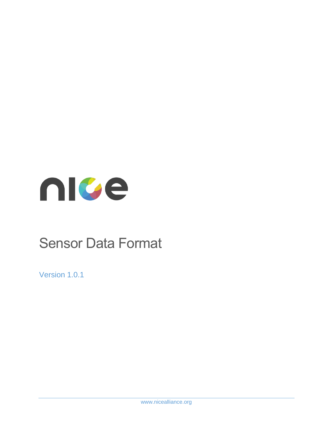

# Sensor Data Format

Version 1.0.1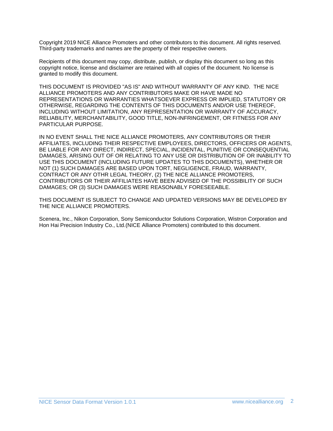Copyright 2019 NICE Alliance Promoters and other contributors to this document. All rights reserved. Third-party trademarks and names are the property of their respective owners.

Recipients of this document may copy, distribute, publish, or display this document so long as this copyright notice, license and disclaimer are retained with all copies of the document. No license is granted to modify this document.

THIS DOCUMENT IS PROVIDED "AS IS" AND WITHOUT WARRANTY OF ANY KIND. THE NICE ALLIANCE PROMOTERS AND ANY CONTRIBUTORS MAKE OR HAVE MADE NO REPRESENTATIONS OR WARRANTIES WHATSOEVER EXPRESS OR IMPLIED, STATUTORY OR OTHERWISE, REGARDING THE CONTENTS OF THIS DOCUMENTS AND/OR USE THEREOF, INCLUDING WITHOUT LIMITATION, ANY REPRESENTATION OR WARRANTY OF ACCURACY, RELIABILITY, MERCHANTABILITY, GOOD TITLE, NON-INFRINGEMENT, OR FITNESS FOR ANY PARTICULAR PURPOSE.

IN NO EVENT SHALL THE NICE ALLIANCE PROMOTERS, ANY CONTRIBUTORS OR THEIR AFFILIATES, INCLUDING THEIR RESPECTIVE EMPLOYEES, DIRECTORS, OFFICERS OR AGENTS, BE LIABLE FOR ANY DIRECT, INDIRECT, SPECIAL, INCIDENTAL, PUNITIVE OR CONSEQUENTIAL DAMAGES, ARISING OUT OF OR RELATING TO ANY USE OR DISTRIBUTION OF OR INABILITY TO USE THIS DOCUMENT (INCLUDING FUTURE UPDATES TO THIS DOCUMENTS), WHETHER OR NOT (1) SUCH DAMAGES ARE BASED UPON TORT, NEGLIGENCE, FRAUD, WARRANTY, CONTRACT OR ANY OTHR LEGAL THEORY, (2) THE NICE ALLIANCE PROMOTERS, CONTRIBUTORS OR THEIR AFFILIATES HAVE BEEN ADVISED OF THE POSSIBILITY OF SUCH DAMAGES; OR (3) SUCH DAMAGES WERE REASONABLY FORESEEABLE.

THIS DOCUMENT IS SUBJECT TO CHANGE AND UPDATED VERSIONS MAY BE DEVELOPED BY THE NICE ALLIANCE PROMOTERS.

Scenera, Inc., Nikon Corporation, Sony Semiconductor Solutions Corporation, Wistron Corporation and Hon Hai Precision Industry Co., Ltd.(NICE Alliance Promoters) contributed to this document.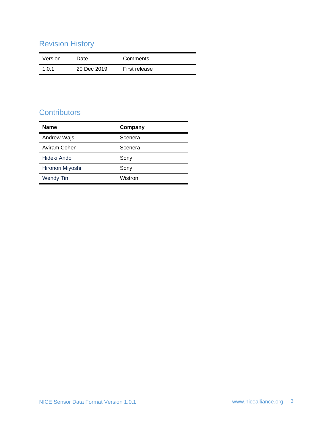# Revision History

| Version | Date        | Comments      |
|---------|-------------|---------------|
| 1.0.1   | 20 Dec 2019 | First release |

## **Contributors**

| <b>Name</b>        | Company |
|--------------------|---------|
| <b>Andrew Wajs</b> | Scenera |
| Aviram Cohen       | Scenera |
| Hideki Ando        | Sony    |
| Hironori Miyoshi   | Sony    |
| <b>Wendy Tin</b>   | Wistron |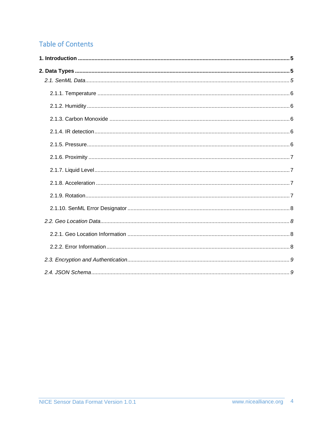# **Table of Contents**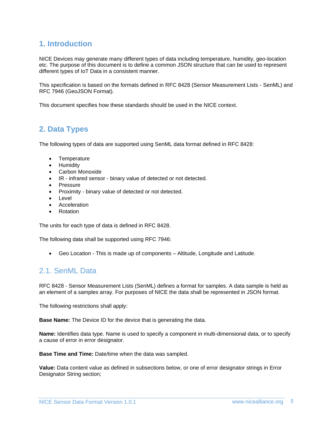### <span id="page-4-0"></span>**1. Introduction**

NICE Devices may generate many different types of data including temperature, humidity, geo-location etc. The purpose of this document is to define a common JSON structure that can be used to represent different types of IoT Data in a consistent manner.

This specification is based on the formats defined in RFC 8428 (Sensor Measurement Lists - SenML) and RFC 7946 (GeoJSON Format).

This document specifies how these standards should be used in the NICE context.

## <span id="page-4-1"></span>**2. Data Types**

The following types of data are supported using SenML data format defined in RFC 8428:

- Temperature
- Humidity
- Carbon Monoxide
- IR infrared sensor binary value of detected or not detected.
- Pressure
- Proximity binary value of detected or not detected.
- Level
- **Acceleration**
- Rotation

The units for each type of data is defined in RFC 8428.

The following data shall be supported using RFC 7946:

• Geo Location - This is made up of components – Altitude, Longitude and Latitude.

#### <span id="page-4-2"></span>2.1. SenML Data

RFC 8428 - Sensor Measurement Lists (SenML) defines a format for samples. A data sample is held as an element of a samples array. For purposes of NICE the data shall be represented in JSON format.

The following restrictions shall apply:

**Base Name:** The Device ID for the device that is generating the data.

**Name:** Identifies data type. Name is used to specify a component in multi-dimensional data, or to specify a cause of error in error designator.

**Base Time and Time:** Date/time when the data was sampled.

**Value:** Data content value as defined in subsections below, or one of error designator strings in Error Designator String section;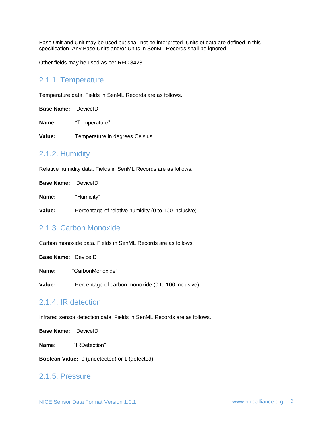Base Unit and Unit may be used but shall not be interpreted. Units of data are defined in this specification. Any Base Units and/or Units in SenML Records shall be ignored.

Other fields may be used as per RFC 8428.

#### <span id="page-5-0"></span>2.1.1. Temperature

Temperature data. Fields in SenML Records are as follows.

**Base Name:** DeviceID

**Name:** "Temperature"

**Value:** Temperature in degrees Celsius

#### <span id="page-5-1"></span>2.1.2. Humidity

Relative humidity data. Fields in SenML Records are as follows.

**Base Name:** DeviceID **Name:** "Humidity"

**Value:** Percentage of relative humidity (0 to 100 inclusive)

#### <span id="page-5-2"></span>2.1.3. Carbon Monoxide

Carbon monoxide data. Fields in SenML Records are as follows.

|                     | <b>Base Name:</b> DeviceID |                                                    |
|---------------------|----------------------------|----------------------------------------------------|
|                     | Name:                      | "CarbonMonoxide"                                   |
|                     | Value:                     | Percentage of carbon monoxide (0 to 100 inclusive) |
| 2.1.4. IR detection |                            |                                                    |

<span id="page-5-3"></span>Infrared sensor detection data. Fields in SenML Records are as follows.

**Base Name:** DeviceID

**Name:** "IRDetection"

**Boolean Value:** 0 (undetected) or 1 (detected)

#### <span id="page-5-4"></span>2.1.5. Pressure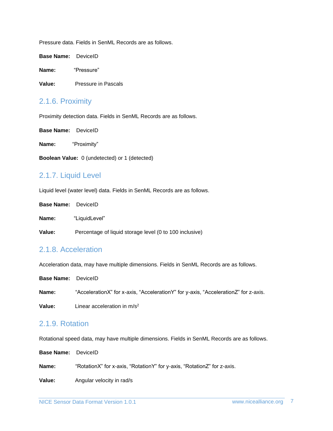Pressure data. Fields in SenML Records are as follows.

**Base Name:** DeviceID

**Name:** "Pressure"

**Value:** Pressure in Pascals

#### <span id="page-6-0"></span>2.1.6. Proximity

Proximity detection data. Fields in SenML Records are as follows.

**Base Name:** DeviceID

**Name:** "Proximity"

**Boolean Value:** 0 (undetected) or 1 (detected)

#### <span id="page-6-1"></span>2.1.7. Liquid Level

Liquid level (water level) data. Fields in SenML Records are as follows.

**Base Name:** DeviceID

**Name:** "LiquidLevel"

**Value:** Percentage of liquid storage level (0 to 100 inclusive)

#### <span id="page-6-2"></span>2.1.8. Acceleration

Acceleration data, may have multiple dimensions. Fields in SenML Records are as follows.

**Base Name:** DeviceID **Name:** "AccelerationX" for x-axis, "AccelerationY" for y-axis, "AccelerationZ" for z-axis. **Value:** Linear acceleration in m/s<sup>2</sup>

#### <span id="page-6-3"></span>2.1.9. Rotation

Rotational speed data, may have multiple dimensions. Fields in SenML Records are as follows.

**Base Name:** DeviceID **Name:** "RotationX" for x-axis, "RotationY" for y-axis, "RotationZ" for z-axis. **Value:** Angular velocity in rad/s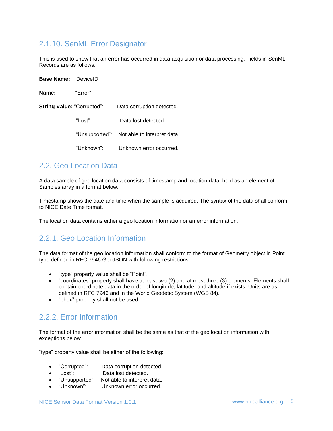#### <span id="page-7-0"></span>2.1.10. SenML Error Designator

This is used to show that an error has occurred in data acquisition or data processing. Fields in SenML Records are as follows.

| <b>Base Name:</b> DevicelD        |            |                                            |
|-----------------------------------|------------|--------------------------------------------|
| Name:                             | "Error"    |                                            |
| <b>String Value: "Corrupted":</b> |            | Data corruption detected.                  |
|                                   | "Lost":    | Data lost detected.                        |
|                                   |            | "Unsupported": Not able to interpret data. |
|                                   | "Unknown": | Unknown error occurred.                    |

#### <span id="page-7-1"></span>2.2. Geo Location Data

**Base Name:** DeviceID

A data sample of geo location data consists of timestamp and location data, held as an element of Samples array in a format below.

Timestamp shows the date and time when the sample is acquired. The syntax of the data shall conform to NICE Date Time format.

The location data contains either a geo location information or an error information.

#### <span id="page-7-2"></span>2.2.1. Geo Location Information

The data format of the geo location information shall conform to the format of Geometry object in Point type defined in RFC 7946 GeoJSON with following restrictions::

- "type" property value shall be "Point".
- "coordinates" property shall have at least two (2) and at most three (3) elements. Elements shall contain coordinate data in the order of longitude, latitude, and altitude if exists. Units are as defined in RFC 7946 and in the World Geodetic System (WGS 84).
- "bbox" property shall not be used.

#### <span id="page-7-3"></span>2.2.2. Error Information

The format of the error information shall be the same as that of the geo location information with exceptions below.

"type" property value shall be either of the following:

- "Corrupted": Data corruption detected.
- "Lost": Data lost detected.
- "Unsupported": Not able to interpret data.
- "Unknown": Unknown error occurred.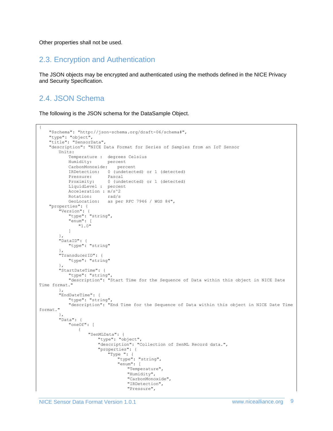Other properties shall not be used.

#### <span id="page-8-0"></span>2.3. Encryption and Authentication

The JSON objects may be encrypted and authenticated using the methods defined in the NICE Privacy and Security Specification.

## <span id="page-8-1"></span>2.4. JSON Schema

The following is the JSON schema for the DataSample Object.

```
{
    "$schema": "http://json-schema.org/draft-06/schema#",
    "type": "object",
    "title": "SensorData",
   "description": "NICE Data Format for Series of Samples from an IoT Sensor
       Units:
           Temperature : degrees Celsius
           Humidity: percent
           CarbonMonoxide: percent
           IRDetection: 0 (undetected) or 1 (detected)
           Pressure: Pascal
           Proximity: 0 (undetected) or 1 (detected)
           LiquidLevel : percent
           Acceleration : m/s^2
           Rotation: rad/s
           GeoLocation: as per RFC 7946 / WGS 84",
   "properties": {
       "Version": {
           "type": "string",
           "enum": [
               "1.0"
           ]
       },
        "DataID": {
           "type": "string"
       }, 
       "TransducerID": {
           "type": "string"
       },
       "StartDateTime": {
           "type": "string",
           "description": "Start Time for the Sequence of Data within this object in NICE Date 
Time format."
       },
       "EndDateTime": {
           "type": "string",
           "description": "End Time for the Sequence of Data within this object in NICE Date Time 
format."
       },
       "Data": {
           "oneOf": [
               {
                   "SenMLData": {
                      "type": "object",
                       "description": "Collection of SenML Record data.",
                      "properties": {
                           "Type ": {
                              "type": "string",
                              "enum": [
                                  "Temperature",
                                  "Humidity",
                                  "CarbonMonoxide",
                                  "IRDetection",
                                  "Pressure",
```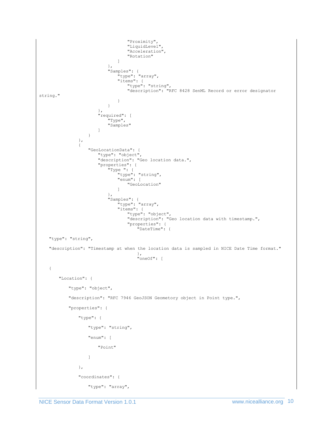```
"Proximity",
                                   "LiquidLevel",
                                   "Acceleration",
                                   "Rotation"
                               ]
                           },
                           "Samples": {
                               "type": "array",
                               "items": {
                                  "type": "string",
                                  "description": "RFC 8428 SenML Record or error designator 
string."
                               }
                          }
                       },
                       "required": [
                           "Type",
                           "Samples"
                       ]
                   }
               },
               {
                   "GeoLocationData": {
                       "type": "object",
                       "description": "Geo location data.",
                       "properties": {
                           "Type ": {
                               "type": "string",
                               "enum": [
                                   "GeoLocation"
                               ]
                           },
                           "Samples": {
                               "type": "array",
                               "items": {
                                   "type": "object",
                                   "description": "Geo location data with timestamp.",
                                   "properties": {
                                       "DateTime": {
    "type": "string",
    "description": "Timestamp at when the location data is sampled in NICE Date Time format."
                                       },
                                       "oneOf": [
    {
       "Location": {
           "type": "object",
           "description": "RFC 7946 GeoJSON Geometory object in Point type.",
           "properties": {
               "type": {
                   "type": "string",
                   "enum": [
                       "Point"
                   ]
               },
               "coordinates": {
                   "type": "array",
```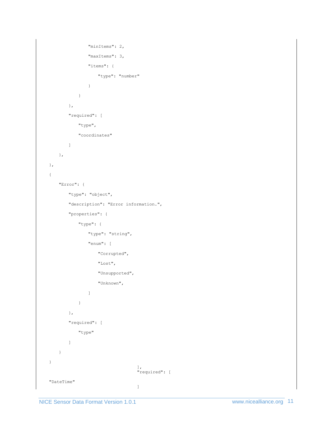```
"minItems": 2,
               "maxItems": 3,
               "items": {
                  "type": "number"
               }
           }
      },
       "required": [
           "type",
           "coordinates"
      ]
   },
},
{
   "Error": {
       "type": "object",
       "description": "Error information.",
       "properties": {
           "type": {
               "type": "string",
               "enum": [
                  "Corrupted",
                   "Lost",
                   "Unsupported",
                  "Unknown",
              ]
           }
      },
       "required": [
           "type"
       ]
   }
}
                                  ],
                                  "required": [
"DateTime"
                                  ]
```